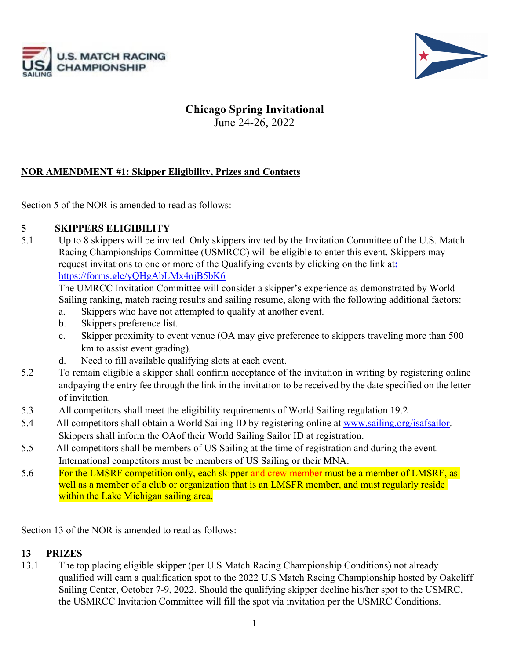



# **Chicago Spring Invitational**

June 24-26, 2022

## **NOR AMENDMENT #1: Skipper Eligibility, Prizes and Contacts**

Section 5 of the NOR is amended to read as follows:

### **5 SKIPPERS ELIGIBILITY**

5.1 Up to 8 skippers will be invited. Only skippers invited by the Invitation Committee of the U.S. Match Racing Championships Committee (USMRCC) will be eligible to enter this event. Skippers may request invitations to one or more of the Qualifying events by clicking on the link at**:**  https://forms.gle/yQHgAbLMx4njB5bK6

The UMRCC Invitation Committee will consider a skipper's experience as demonstrated by World Sailing ranking, match racing results and sailing resume, along with the following additional factors:

- a. Skippers who have not attempted to qualify at another event.
- b. Skippers preference list.
- c. Skipper proximity to event venue (OA may give preference to skippers traveling more than 500 km to assist event grading).
- d. Need to fill available qualifying slots at each event.
- 5.2 To remain eligible a skipper shall confirm acceptance of the invitation in writing by registering online andpaying the entry fee through the link in the invitation to be received by the date specified on the letter of invitation.
- 5.3 All competitors shall meet the eligibility requirements of World Sailing regulation 19.2
- 5.4 All competitors shall obtain a World Sailing ID by registering online at www.sailing.org/isafsailor. Skippers shall inform the OAof their World Sailing Sailor ID at registration.
- 5.5 All competitors shall be members of US Sailing at the time of registration and during the event. International competitors must be members of US Sailing or their MNA.
- 5.6 For the LMSRF competition only, each skipper and crew member must be a member of LMSRF, as well as a member of a club or organization that is an LMSFR member, and must regularly reside within the Lake Michigan sailing area.

Section 13 of the NOR is amended to read as follows:

### **13 PRIZES**

13.1 The top placing eligible skipper (per U.S Match Racing Championship Conditions) not already qualified will earn a qualification spot to the 2022 U.S Match Racing Championship hosted by Oakcliff Sailing Center, October 7-9, 2022. Should the qualifying skipper decline his/her spot to the USMRC, the USMRCC Invitation Committee will fill the spot via invitation per the USMRC Conditions.